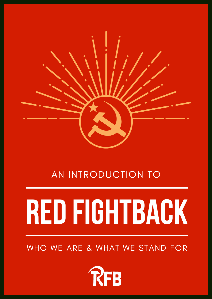

### AN INTRODUCTION TO

# **RED FIGHTBACK**

#### WHO WE ARE & WHAT WE STAND FOR

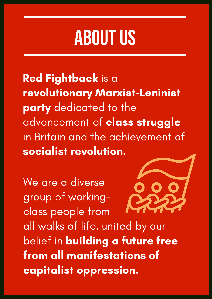### **ABOUTUS**

Red Fightback is a revolutionary Marxist-Leninist party dedicated to the advancement of class struggle in Britain and the achievement of socialist revolution.

We are a diverse group of workingclass people from all walks of life, united by our belief in building a future free from all manifestations of capitalist oppression.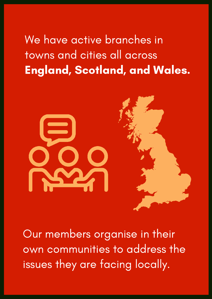### We have active branches in towns and cities all across England, Scotland, and Wales.



Our members organise in their own communities to address the issues they are facing locally.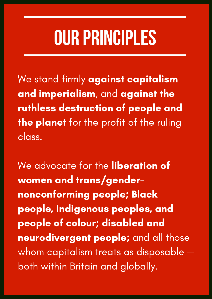## **OUR PRINCIPLES**

We stand firmly against capitalism and imperialism, and against the ruthless destruction of people and the planet for the profit of the ruling class.

We advocate for the liberation of women and trans/gendernonconforming people; Black people, Indigenous peoples, and people of colour; disabled and neurodivergent people; and all those whom capitalism treats as disposable both within Britain and globally.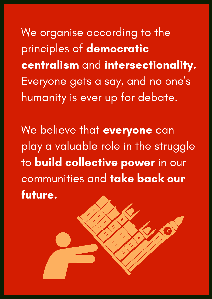We organise according to the principles of democratic centralism and intersectionality. Everyone gets a say, and no one ' s humanity is ever up for debate.

We believe that everyone can play a valuable role in the struggle to **build collective power** in our communities and take back our future.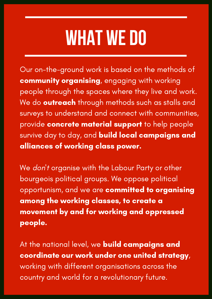### **WHAT WE DO**

Our on-the-ground work is based on the methods of community organising, engaging with working people through the spaces where they live and work. We do **outreach** through methods such as stalls and surveys to understand and connect with communities, provide concrete material support to help people survive day to day, and build local campaigns and alliances of working class power.

We *don*'t organise with the Labour Party or other bourgeois political groups. We oppose political opportunism, and we are committed to organising among the working classes, to create a movement by and for working and oppressed people.

At the national level, we **build campaigns and** coordinate our work under one united strategy, working with different organisations across the country and world for a revolutionary future.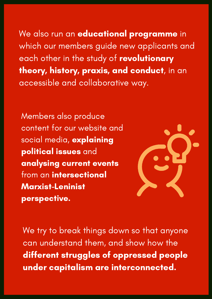We also run an **educational programme** in which our members guide new applicants and each other in the study of revolutionary theory, history, praxis, and conduct, in an accessible and collaborative way.

Members also produce content for our website and social media, explaining political issues and analysing current events from an intersectional Marxist-Leninist perspective.



We try to break things down so that anyone can understand them, and show how the different struggles of oppressed people under capitalism are interconnected.